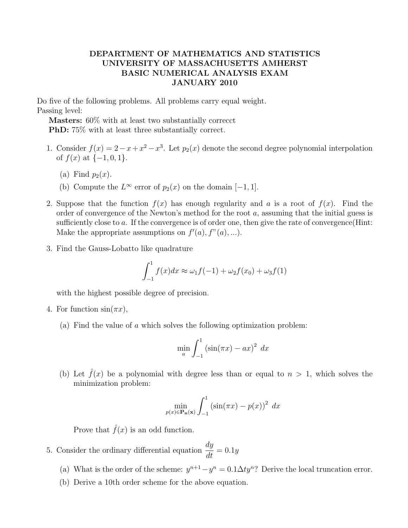## DEPARTMENT OF MATHEMATICS AND STATISTICS UNIVERSITY OF MASSACHUSETTS AMHERST BASIC NUMERICAL ANALYSIS EXAM JANUARY 2010

Do five of the following problems. All problems carry equal weight. Passing level:

Masters: 60% with at least two substantially correcct PhD: 75% with at least three substantially correct.

- 1. Consider  $f(x) = 2 x + x^2 x^3$ . Let  $p_2(x)$  denote the second degree polynomial interpolation of  $f(x)$  at  $\{-1, 0, 1\}$ .
	- (a) Find  $p_2(x)$ .
	- (b) Compute the  $L^{\infty}$  error of  $p_2(x)$  on the domain  $[-1, 1]$ .
- 2. Suppose that the function  $f(x)$  has enough regularity and a is a root of  $f(x)$ . Find the order of convergence of the Newton's method for the root a, assuming that the initial guess is sufficiently close to a. If the convergence is of order one, then give the rate of convergence(Hint: Make the appropriate assumptions on  $f'(a)$ ,  $f''(a)$ , ...).
- 3. Find the Gauss-Lobatto like quadrature

$$
\int_{-1}^{1} f(x)dx \approx \omega_1 f(-1) + \omega_2 f(x_0) + \omega_3 f(1)
$$

with the highest possible degree of precision.

- 4. For function  $sin(\pi x)$ ,
	- (a) Find the value of a which solves the following optimization problem:

$$
\min_{a} \int_{-1}^{1} \left(\sin(\pi x) - ax\right)^{2} dx
$$

(b) Let  $\hat{f}(x)$  be a polynomial with degree less than or equal to  $n > 1$ , which solves the minimization problem:

$$
\min_{p(x)\in\mathbf{P_n(x)}} \int_{-1}^1 \left(\sin(\pi x) - p(x)\right)^2 dx
$$

Prove that  $\hat{f}(x)$  is an odd function.

- 5. Consider the ordinary differential equation  $\frac{dy}{dt}$  $\frac{dy}{dt} = 0.1y$ 
	- (a) What is the order of the scheme:  $y^{n+1} y^n = 0.1 \Delta t y^n$ ? Derive the local truncation error.
	- (b) Derive a 10th order scheme for the above equation.